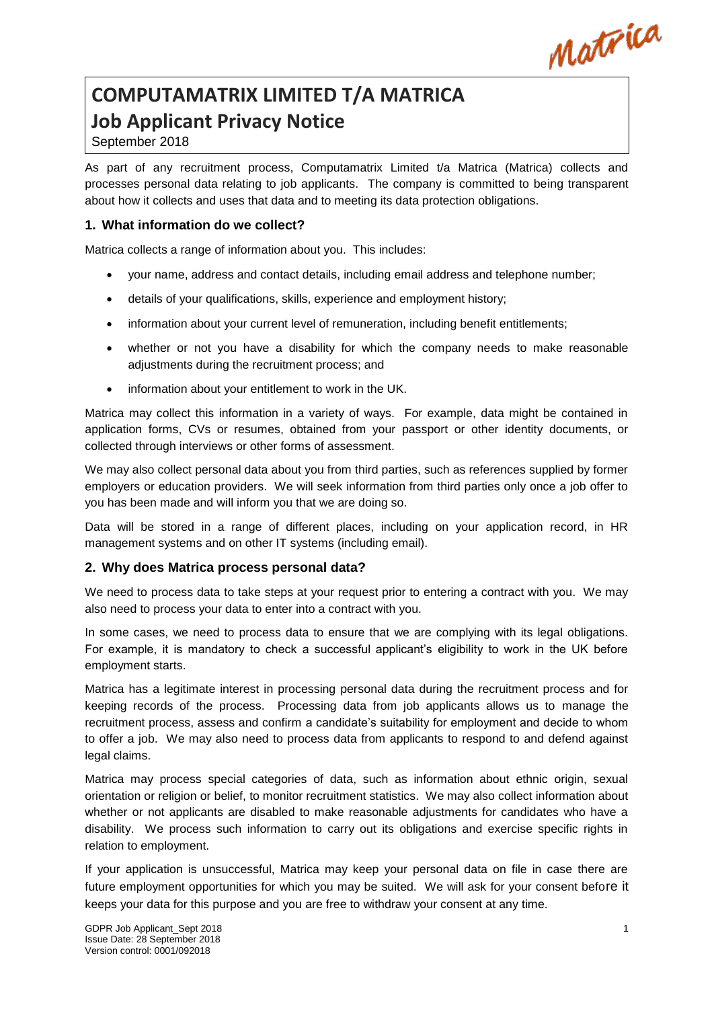Matrica

# **COMPUTAMATRIX LIMITED T/A MATRICA Job Applicant Privacy Notice**

# September 2018

As part of any recruitment process, Computamatrix Limited t/a Matrica (Matrica) collects and processes personal data relating to job applicants. The company is committed to being transparent about how it collects and uses that data and to meeting its data protection obligations.

## **1. What information do we collect?**

Matrica collects a range of information about you. This includes:

- your name, address and contact details, including email address and telephone number;
- details of your qualifications, skills, experience and employment history;
- information about your current level of remuneration, including benefit entitlements;
- whether or not you have a disability for which the company needs to make reasonable adjustments during the recruitment process; and
- information about your entitlement to work in the UK.

Matrica may collect this information in a variety of ways. For example, data might be contained in application forms, CVs or resumes, obtained from your passport or other identity documents, or collected through interviews or other forms of assessment.

We may also collect personal data about you from third parties, such as references supplied by former employers or education providers. We will seek information from third parties only once a job offer to you has been made and will inform you that we are doing so.

Data will be stored in a range of different places, including on your application record, in HR management systems and on other IT systems (including email).

#### **2. Why does Matrica process personal data?**

We need to process data to take steps at your request prior to entering a contract with you. We may also need to process your data to enter into a contract with you.

In some cases, we need to process data to ensure that we are complying with its legal obligations. For example, it is mandatory to check a successful applicant's eligibility to work in the UK before employment starts.

Matrica has a legitimate interest in processing personal data during the recruitment process and for keeping records of the process. Processing data from job applicants allows us to manage the recruitment process, assess and confirm a candidate's suitability for employment and decide to whom to offer a job. We may also need to process data from applicants to respond to and defend against legal claims.

Matrica may process special categories of data, such as information about ethnic origin, sexual orientation or religion or belief, to monitor recruitment statistics. We may also collect information about whether or not applicants are disabled to make reasonable adjustments for candidates who have a disability. We process such information to carry out its obligations and exercise specific rights in relation to employment.

If your application is unsuccessful, Matrica may keep your personal data on file in case there are future employment opportunities for which you may be suited. We will ask for your consent before it keeps your data for this purpose and you are free to withdraw your consent at any time.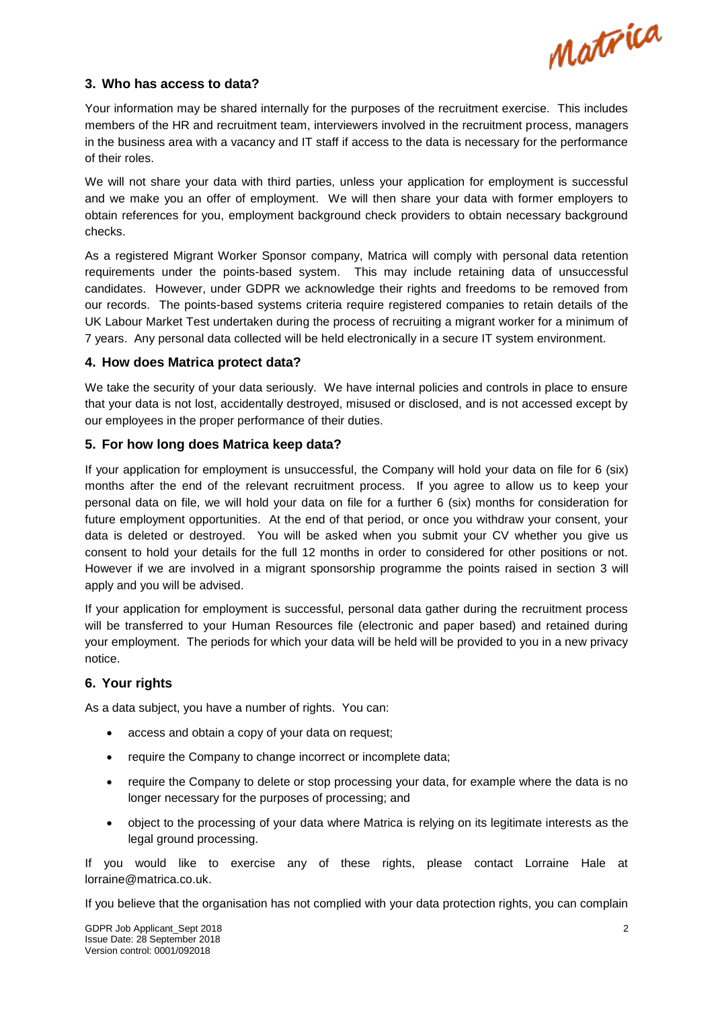

#### **3. Who has access to data?**

Your information may be shared internally for the purposes of the recruitment exercise. This includes members of the HR and recruitment team, interviewers involved in the recruitment process, managers in the business area with a vacancy and IT staff if access to the data is necessary for the performance of their roles.

We will not share your data with third parties, unless your application for employment is successful and we make you an offer of employment. We will then share your data with former employers to obtain references for you, employment background check providers to obtain necessary background checks.

As a registered Migrant Worker Sponsor company, Matrica will comply with personal data retention requirements under the points-based system. This may include retaining data of unsuccessful candidates. However, under GDPR we acknowledge their rights and freedoms to be removed from our records. The points-based systems criteria require registered companies to retain details of the UK Labour Market Test undertaken during the process of recruiting a migrant worker for a minimum of 7 years. Any personal data collected will be held electronically in a secure IT system environment.

#### **4. How does Matrica protect data?**

We take the security of your data seriously. We have internal policies and controls in place to ensure that your data is not lost, accidentally destroyed, misused or disclosed, and is not accessed except by our employees in the proper performance of their duties.

#### **5. For how long does Matrica keep data?**

If your application for employment is unsuccessful, the Company will hold your data on file for 6 (six) months after the end of the relevant recruitment process. If you agree to allow us to keep your personal data on file, we will hold your data on file for a further 6 (six) months for consideration for future employment opportunities. At the end of that period, or once you withdraw your consent, your data is deleted or destroyed. You will be asked when you submit your CV whether you give us consent to hold your details for the full 12 months in order to considered for other positions or not. However if we are involved in a migrant sponsorship programme the points raised in section 3 will apply and you will be advised.

If your application for employment is successful, personal data gather during the recruitment process will be transferred to your Human Resources file (electronic and paper based) and retained during your employment. The periods for which your data will be held will be provided to you in a new privacy notice.

## **6. Your rights**

As a data subject, you have a number of rights. You can:

- access and obtain a copy of your data on request;
- require the Company to change incorrect or incomplete data;
- require the Company to delete or stop processing your data, for example where the data is no longer necessary for the purposes of processing; and
- object to the processing of your data where Matrica is relying on its legitimate interests as the legal ground processing.

If you would like to exercise any of these rights, please contact Lorraine Hale at lorraine@matrica.co.uk.

If you believe that the organisation has not complied with your data protection rights, you can complain